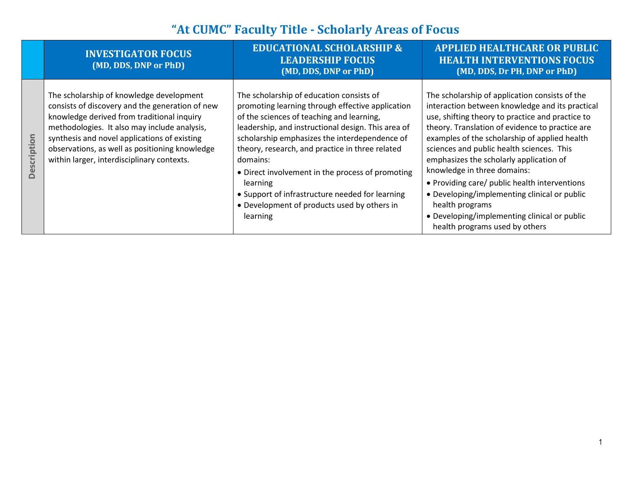|             | <b>INVESTIGATOR FOCUS</b><br>(MD, DDS, DNP or PhD)                                                                                                                                                                                                                                                                                        | <b>EDUCATIONAL SCHOLARSHIP &amp;</b><br><b>LEADERSHIP FOCUS</b><br>(MD, DDS, DNP or PhD)                                                                                                                                                                                                                                                                                                                                                                                                      | <b>APPLIED HEALTHCARE OR PUBLIC</b><br><b>HEALTH INTERVENTIONS FOCUS</b><br>(MD, DDS, Dr PH, DNP or PhD)                                                                                                                                                                                                                                                                                                                                                                                                                                                                               |
|-------------|-------------------------------------------------------------------------------------------------------------------------------------------------------------------------------------------------------------------------------------------------------------------------------------------------------------------------------------------|-----------------------------------------------------------------------------------------------------------------------------------------------------------------------------------------------------------------------------------------------------------------------------------------------------------------------------------------------------------------------------------------------------------------------------------------------------------------------------------------------|----------------------------------------------------------------------------------------------------------------------------------------------------------------------------------------------------------------------------------------------------------------------------------------------------------------------------------------------------------------------------------------------------------------------------------------------------------------------------------------------------------------------------------------------------------------------------------------|
| Description | The scholarship of knowledge development<br>consists of discovery and the generation of new<br>knowledge derived from traditional inquiry<br>methodologies. It also may include analysis,<br>synthesis and novel applications of existing<br>observations, as well as positioning knowledge<br>within larger, interdisciplinary contexts. | The scholarship of education consists of<br>promoting learning through effective application<br>of the sciences of teaching and learning,<br>leadership, and instructional design. This area of<br>scholarship emphasizes the interdependence of<br>theory, research, and practice in three related<br>domains:<br>• Direct involvement in the process of promoting<br>learning<br>• Support of infrastructure needed for learning<br>• Development of products used by others in<br>learning | The scholarship of application consists of the<br>interaction between knowledge and its practical<br>use, shifting theory to practice and practice to<br>theory. Translation of evidence to practice are<br>examples of the scholarship of applied health<br>sciences and public health sciences. This<br>emphasizes the scholarly application of<br>knowledge in three domains:<br>• Providing care/ public health interventions<br>• Developing/implementing clinical or public<br>health programs<br>• Developing/implementing clinical or public<br>health programs used by others |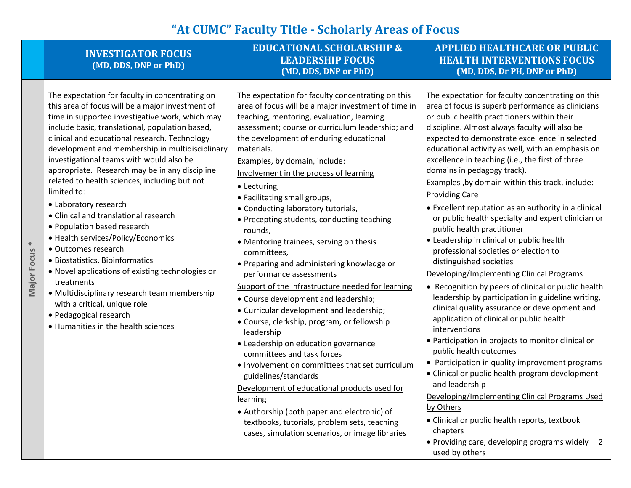|                          | <b>INVESTIGATOR FOCUS</b><br>(MD, DDS, DNP or PhD)                                                                                                                                                                                                                                                                                                                                                                                                                                                                                                                                                                                                                                                                                                                                                                                                                                              | <b>EDUCATIONAL SCHOLARSHIP &amp;</b><br><b>LEADERSHIP FOCUS</b><br>(MD, DDS, DNP or PhD)                                                                                                                                                                                                                                                                                                                                                                                                                                                                                                                                                                                                                                                                                                                                                                                                                                                                                                                                                                                                                                                                                                             | <b>APPLIED HEALTHCARE OR PUBLIC</b><br><b>HEALTH INTERVENTIONS FOCUS</b><br>(MD, DDS, Dr PH, DNP or PhD)                                                                                                                                                                                                                                                                                                                                                                                                                                                                                                                                                                                                                                                                                                                                                                                                                                                                                                                                                                                                                                                                                                                                                                                                                                                                                                                  |
|--------------------------|-------------------------------------------------------------------------------------------------------------------------------------------------------------------------------------------------------------------------------------------------------------------------------------------------------------------------------------------------------------------------------------------------------------------------------------------------------------------------------------------------------------------------------------------------------------------------------------------------------------------------------------------------------------------------------------------------------------------------------------------------------------------------------------------------------------------------------------------------------------------------------------------------|------------------------------------------------------------------------------------------------------------------------------------------------------------------------------------------------------------------------------------------------------------------------------------------------------------------------------------------------------------------------------------------------------------------------------------------------------------------------------------------------------------------------------------------------------------------------------------------------------------------------------------------------------------------------------------------------------------------------------------------------------------------------------------------------------------------------------------------------------------------------------------------------------------------------------------------------------------------------------------------------------------------------------------------------------------------------------------------------------------------------------------------------------------------------------------------------------|---------------------------------------------------------------------------------------------------------------------------------------------------------------------------------------------------------------------------------------------------------------------------------------------------------------------------------------------------------------------------------------------------------------------------------------------------------------------------------------------------------------------------------------------------------------------------------------------------------------------------------------------------------------------------------------------------------------------------------------------------------------------------------------------------------------------------------------------------------------------------------------------------------------------------------------------------------------------------------------------------------------------------------------------------------------------------------------------------------------------------------------------------------------------------------------------------------------------------------------------------------------------------------------------------------------------------------------------------------------------------------------------------------------------------|
| Major Focus <sup>*</sup> | The expectation for faculty in concentrating on<br>this area of focus will be a major investment of<br>time in supported investigative work, which may<br>include basic, translational, population based,<br>clinical and educational research. Technology<br>development and membership in multidisciplinary<br>investigational teams with would also be<br>appropriate. Research may be in any discipline<br>related to health sciences, including but not<br>limited to:<br>• Laboratory research<br>• Clinical and translational research<br>• Population based research<br>• Health services/Policy/Economics<br>• Outcomes research<br>· Biostatistics, Bioinformatics<br>• Novel applications of existing technologies or<br>treatments<br>• Multidisciplinary research team membership<br>with a critical, unique role<br>· Pedagogical research<br>• Humanities in the health sciences | The expectation for faculty concentrating on this<br>area of focus will be a major investment of time in<br>teaching, mentoring, evaluation, learning<br>assessment; course or curriculum leadership; and<br>the development of enduring educational<br>materials.<br>Examples, by domain, include:<br>Involvement in the process of learning<br>• Lecturing,<br>• Facilitating small groups,<br>• Conducting laboratory tutorials,<br>• Precepting students, conducting teaching<br>rounds,<br>• Mentoring trainees, serving on thesis<br>committees,<br>• Preparing and administering knowledge or<br>performance assessments<br>Support of the infrastructure needed for learning<br>• Course development and leadership;<br>• Curricular development and leadership;<br>· Course, clerkship, program, or fellowship<br>leadership<br>• Leadership on education governance<br>committees and task forces<br>. Involvement on committees that set curriculum<br>guidelines/standards<br>Development of educational products used for<br>learning<br>• Authorship (both paper and electronic) of<br>textbooks, tutorials, problem sets, teaching<br>cases, simulation scenarios, or image libraries | The expectation for faculty concentrating on this<br>area of focus is superb performance as clinicians<br>or public health practitioners within their<br>discipline. Almost always faculty will also be<br>expected to demonstrate excellence in selected<br>educational activity as well, with an emphasis on<br>excellence in teaching (i.e., the first of three<br>domains in pedagogy track).<br>Examples, by domain within this track, include:<br><b>Providing Care</b><br>• Excellent reputation as an authority in a clinical<br>or public health specialty and expert clinician or<br>public health practitioner<br>• Leadership in clinical or public health<br>professional societies or election to<br>distinguished societies<br>Developing/Implementing Clinical Programs<br>• Recognition by peers of clinical or public health<br>leadership by participation in guideline writing,<br>clinical quality assurance or development and<br>application of clinical or public health<br>interventions<br>• Participation in projects to monitor clinical or<br>public health outcomes<br>• Participation in quality improvement programs<br>• Clinical or public health program development<br>and leadership<br>Developing/Implementing Clinical Programs Used<br>by Others<br>• Clinical or public health reports, textbook<br>chapters<br>• Providing care, developing programs widely 2<br>used by others |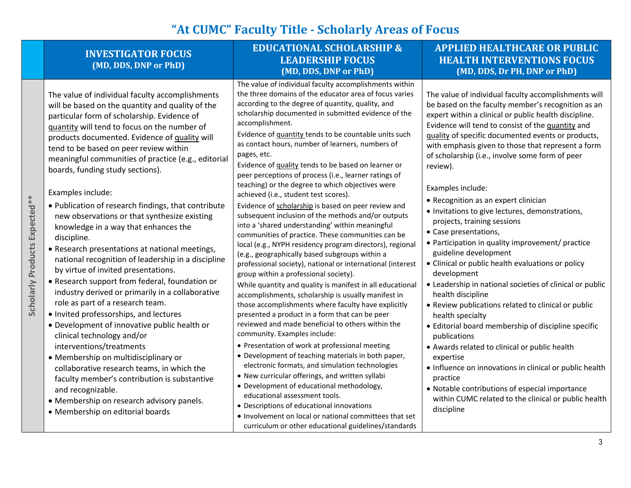**EDUCATIONAL SCHOLARSHIP &** 

| <b>INVESTIGATOR FOCUS</b><br>(MD, DDS, DNP or PhD)                                                                                                                                                                                                                                                                                                                                                                                                                                                                                                                                                                                                                                                                                                                                                                                                                                                                                                                                                                                                                                                                                                                                                                                                                   | <b>EDUCATIONAL SCHOLARSHIP &amp;</b><br><b>LEADERSHIP FOCUS</b><br>(MD, DDS, DNP or PhD)                                                                                                                                                                                                                                                                                                                                                                                                                                                                                                                                                                                                                                                                                                                                                                                                                                                                                                                                                                                                                                                                                                                                                                                                                                                                                                                                                                                                                                                                                                                                                                                                                                                                                                                               | <b>APPLIED HEALTHCARE OR PUBLIC</b><br><b>HEALTH INTERVENTIONS FOCUS</b><br>(MD, DDS, Dr PH, DNP or PhD)                                                                                                                                                                                                                                                                                                                                                                                                                                                                                                                                                                                                                                                                                                                                                                                                                                                                                                                                                                                                                                                                                                                     |
|----------------------------------------------------------------------------------------------------------------------------------------------------------------------------------------------------------------------------------------------------------------------------------------------------------------------------------------------------------------------------------------------------------------------------------------------------------------------------------------------------------------------------------------------------------------------------------------------------------------------------------------------------------------------------------------------------------------------------------------------------------------------------------------------------------------------------------------------------------------------------------------------------------------------------------------------------------------------------------------------------------------------------------------------------------------------------------------------------------------------------------------------------------------------------------------------------------------------------------------------------------------------|------------------------------------------------------------------------------------------------------------------------------------------------------------------------------------------------------------------------------------------------------------------------------------------------------------------------------------------------------------------------------------------------------------------------------------------------------------------------------------------------------------------------------------------------------------------------------------------------------------------------------------------------------------------------------------------------------------------------------------------------------------------------------------------------------------------------------------------------------------------------------------------------------------------------------------------------------------------------------------------------------------------------------------------------------------------------------------------------------------------------------------------------------------------------------------------------------------------------------------------------------------------------------------------------------------------------------------------------------------------------------------------------------------------------------------------------------------------------------------------------------------------------------------------------------------------------------------------------------------------------------------------------------------------------------------------------------------------------------------------------------------------------------------------------------------------------|------------------------------------------------------------------------------------------------------------------------------------------------------------------------------------------------------------------------------------------------------------------------------------------------------------------------------------------------------------------------------------------------------------------------------------------------------------------------------------------------------------------------------------------------------------------------------------------------------------------------------------------------------------------------------------------------------------------------------------------------------------------------------------------------------------------------------------------------------------------------------------------------------------------------------------------------------------------------------------------------------------------------------------------------------------------------------------------------------------------------------------------------------------------------------------------------------------------------------|
| The value of individual faculty accomplishments<br>will be based on the quantity and quality of the<br>particular form of scholarship. Evidence of<br>quantity will tend to focus on the number of<br>products documented. Evidence of quality will<br>tend to be based on peer review within<br>meaningful communities of practice (e.g., editorial<br>boards, funding study sections).<br>Examples include:<br>. Publication of research findings, that contribute<br>new observations or that synthesize existing<br>knowledge in a way that enhances the<br>discipline.<br>• Research presentations at national meetings,<br>national recognition of leadership in a discipline<br>by virtue of invited presentations.<br>• Research support from federal, foundation or<br>industry derived or primarily in a collaborative<br>role as part of a research team.<br>• Invited professorships, and lectures<br>• Development of innovative public health or<br>clinical technology and/or<br>interventions/treatments<br>• Membership on multidisciplinary or<br>collaborative research teams, in which the<br>faculty member's contribution is substantive<br>and recognizable.<br>• Membership on research advisory panels.<br>• Membership on editorial boards | The value of individual faculty accomplishments within<br>the three domains of the educator area of focus varies<br>according to the degree of quantity, quality, and<br>scholarship documented in submitted evidence of the<br>accomplishment.<br>Evidence of quantity tends to be countable units such<br>as contact hours, number of learners, numbers of<br>pages, etc.<br>Evidence of <b>guality</b> tends to be based on learner or<br>peer perceptions of process (i.e., learner ratings of<br>teaching) or the degree to which objectives were<br>achieved (i.e., student test scores).<br>Evidence of scholarship is based on peer review and<br>subsequent inclusion of the methods and/or outputs<br>into a 'shared understanding' within meaningful<br>communities of practice. These communities can be<br>local (e.g., NYPH residency program directors), regional<br>(e.g., geographically based subgroups within a<br>professional society), national or international (interest<br>group within a professional society).<br>While quantity and quality is manifest in all educational<br>accomplishments, scholarship is usually manifest in<br>those accomplishments where faculty have explicitly<br>presented a product in a form that can be peer<br>reviewed and made beneficial to others within the<br>community. Examples include:<br>• Presentation of work at professional meeting<br>• Development of teaching materials in both paper,<br>electronic formats, and simulation technologies<br>• New curricular offerings, and written syllabi<br>• Development of educational methodology,<br>educational assessment tools.<br>• Descriptions of educational innovations<br>• Involvement on local or national committees that set<br>curriculum or other educational guidelines/standards | The value of individual faculty accomplishments will<br>be based on the faculty member's recognition as an<br>expert within a clinical or public health discipline.<br>Evidence will tend to consist of the quantity and<br>quality of specific documented events or products,<br>with emphasis given to those that represent a form<br>of scholarship (i.e., involve some form of peer<br>review).<br>Examples include:<br>• Recognition as an expert clinician<br>· Invitations to give lectures, demonstrations,<br>projects, training sessions<br>• Case presentations,<br>• Participation in quality improvement/ practice<br>guideline development<br>• Clinical or public health evaluations or policy<br>development<br>• Leadership in national societies of clinical or public<br>health discipline<br>• Review publications related to clinical or public<br>health specialty<br>• Editorial board membership of discipline specific<br>publications<br>• Awards related to clinical or public health<br>expertise<br>• Influence on innovations in clinical or public health<br>practice<br>• Notable contributions of especial importance<br>within CUMC related to the clinical or public health<br>discipline |
|                                                                                                                                                                                                                                                                                                                                                                                                                                                                                                                                                                                                                                                                                                                                                                                                                                                                                                                                                                                                                                                                                                                                                                                                                                                                      |                                                                                                                                                                                                                                                                                                                                                                                                                                                                                                                                                                                                                                                                                                                                                                                                                                                                                                                                                                                                                                                                                                                                                                                                                                                                                                                                                                                                                                                                                                                                                                                                                                                                                                                                                                                                                        |                                                                                                                                                                                                                                                                                                                                                                                                                                                                                                                                                                                                                                                                                                                                                                                                                                                                                                                                                                                                                                                                                                                                                                                                                              |

3